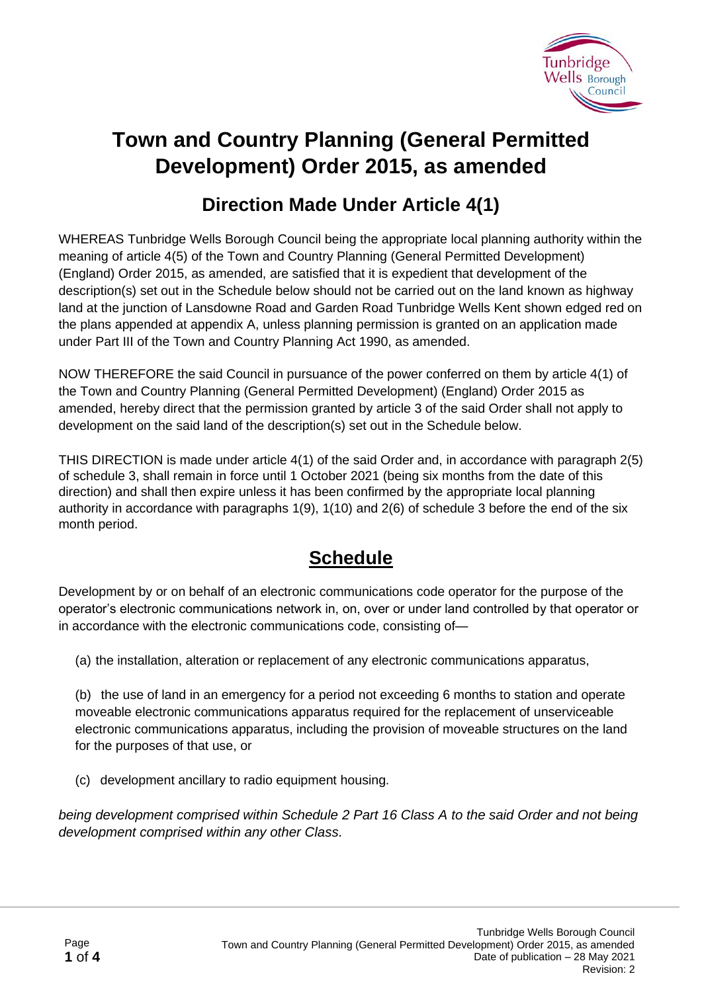

# **Town and Country Planning (General Permitted Development) Order 2015, as amended**

### **Direction Made Under Article 4(1)**

WHEREAS Tunbridge Wells Borough Council being the appropriate local planning authority within the meaning of article 4(5) of the Town and Country Planning (General Permitted Development) (England) Order 2015, as amended, are satisfied that it is expedient that development of the description(s) set out in the Schedule below should not be carried out on the land known as highway land at the junction of Lansdowne Road and Garden Road Tunbridge Wells Kent shown edged red on the plans appended at appendix A, unless planning permission is granted on an application made under Part III of the Town and Country Planning Act 1990, as amended.

NOW THEREFORE the said Council in pursuance of the power conferred on them by article 4(1) of the Town and Country Planning (General Permitted Development) (England) Order 2015 as amended, hereby direct that the permission granted by article 3 of the said Order shall not apply to development on the said land of the description(s) set out in the Schedule below.

THIS DIRECTION is made under article 4(1) of the said Order and, in accordance with paragraph 2(5) of schedule 3, shall remain in force until 1 October 2021 (being six months from the date of this direction) and shall then expire unless it has been confirmed by the appropriate local planning authority in accordance with paragraphs 1(9), 1(10) and 2(6) of schedule 3 before the end of the six month period.

## **Schedule**

Development by or on behalf of an electronic communications code operator for the purpose of the operator's electronic communications network in, on, over or under land controlled by that operator or in accordance with the electronic communications code, consisting of—

(a) the installation, alteration or replacement of any electronic communications apparatus,

(b) the use of land in an emergency for a period not exceeding 6 months to station and operate moveable electronic communications apparatus required for the replacement of unserviceable electronic communications apparatus, including the provision of moveable structures on the land for the purposes of that use, or

(c) development ancillary to radio equipment housing.

*being development comprised within Schedule 2 Part 16 Class A to the said Order and not being development comprised within any other Class.*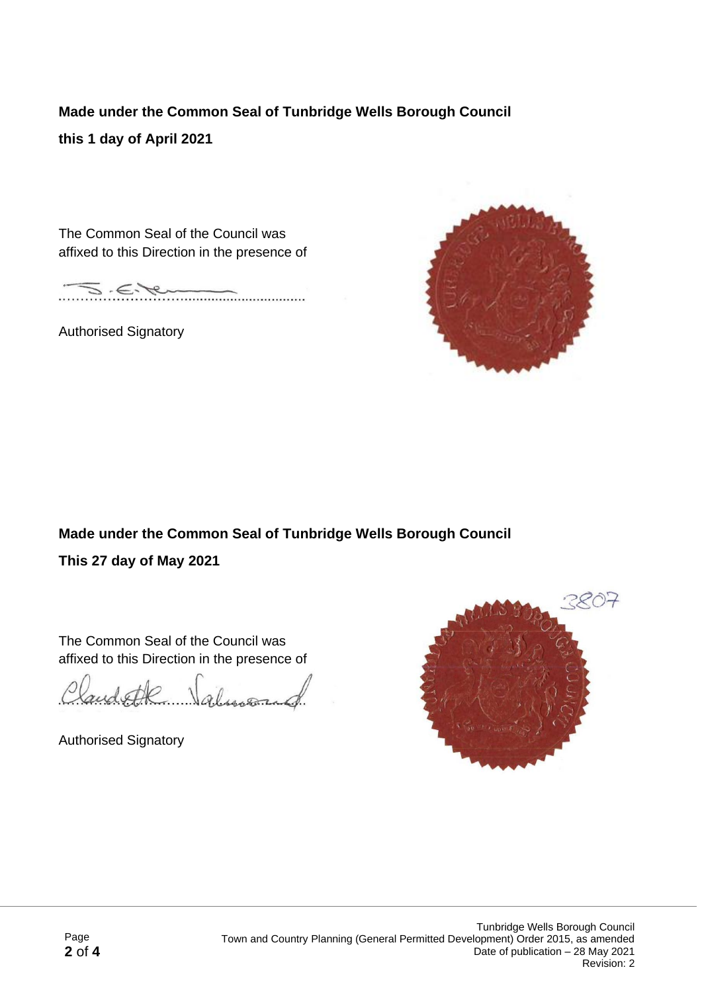### **Made under the Common Seal of Tunbridge Wells Borough Council**

#### **this 1 day of April 2021**

The Common Seal of the Council was affixed to this Direction in the presence of

 $\in$ ÷ . . . . . . . . . .

Authorised Signatory



### **Made under the Common Seal of Tunbridge Wells Borough Council This 27 day of May 2021**

The Common Seal of the Council was affixed to this Direction in the presence of

and the Valuman

Authorised Signatory

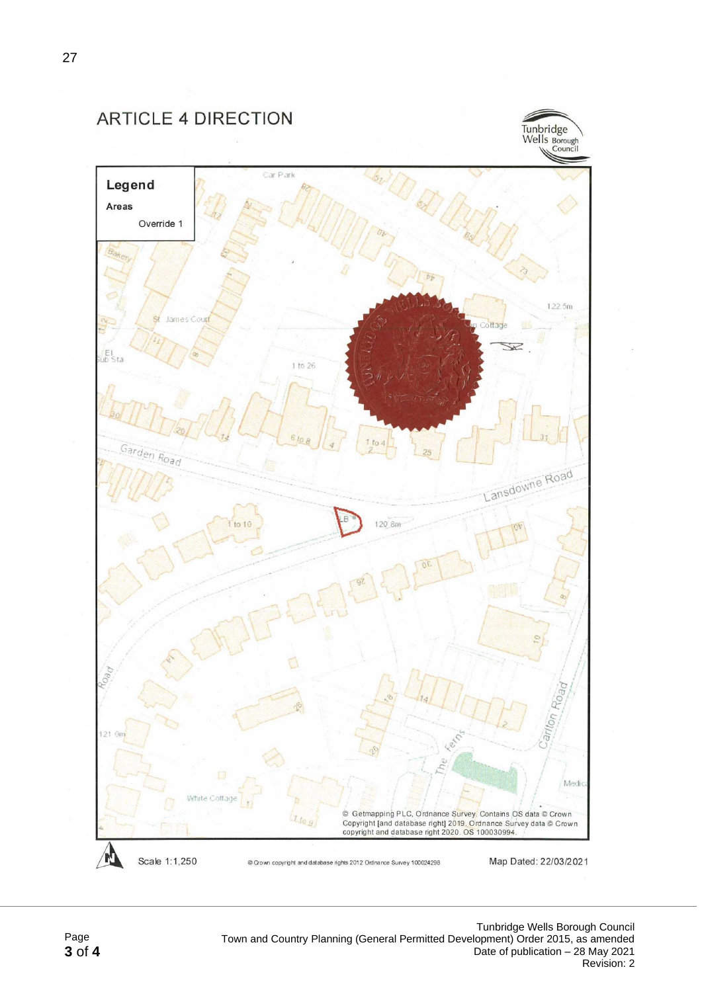**ARTICLE 4 DIRECTION**